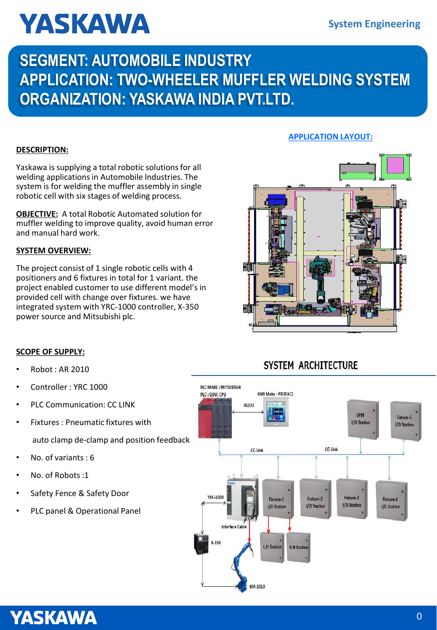# **YASKAWA**

### **SEGMENT: AUTOMOBILE INDUSTRY APPLICATION: TWO-WHEELER MUFFLER WELDING SYSTEM ORGANIZATION: YASKAWA INDIA PVT.LTD.**

### **DESCRIPTION:**

Yaskawa is supplying a total robotic solutions for all welding applications in Automobile Industries. The system is for welding the muffler assembly in single robotic cell with six stages of welding process.

**OBJECTIVE:** A total Robotic Automated solution for muffler welding to improve quality, avoid human error and manual hard work.

#### **SYSTEM OVERVIEW:**

The project consist of 1 single robotic cells with 4 positioners and 6 fixtures in total for 1 variant. the project enabled customer to use different model's in provided cell with change over fixtures. we have integrated system with YRC-1000 controller, X-350 power source and Mitsubishi plc.

### **APPLICATION LAYOUT:**



### **SCOPE OF SUPPLY:**

- Robot : AR 2010
- Controller : YRC 1000
- PLC Communication: CC LINK
- Fixtures : Pneumatic fixtures with auto clamp de-clamp and position feedback
- No. of variants : 6
- No. of Robots:1
- Safety Fence & Safety Door
- PLC panel & Operational Panel

### **SYSTEM ARCHITECTURE**